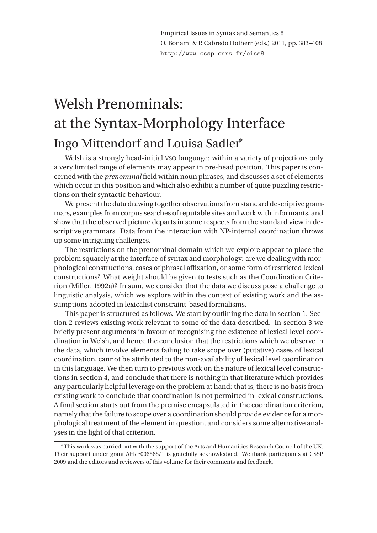Empirical Issues in Syntax and Semantics 8 O. Bonami & P. Cabredo Hofherr (eds.) 2011, pp. 383–408 http://www.cssp.cnrs.fr/eiss8

# Welsh Prenominals: at the Syntax-Morphology Interface Ingo Mittendorf and Louisa Sadler<sup>∗</sup>

Welsh is a strongly head-initial vso language: within a variety of projections only a very limited range of elements may appear in pre-head position. This paper is concerned with the *prenominal* field within noun phrases, and discusses a set of elements which occur in this position and which also exhibit a number of quite puzzling restrictions on their syntactic behaviour.

We present the data drawing together observations from standard descriptive grammars, examples from corpus searches of reputable sites and work with informants, and show that the observed picture departs in some respects from the standard view in descriptive grammars. Data from the interaction with NP-internal coordination throws up some intriguing challenges.

The restrictions on the prenominal domain which we explore appear to place the problem squarely at the interface of syntax and morphology: are we dealing with morphological constructions, cases of phrasal affixation, or some form of restricted lexical constructions? What weight should be given to tests such as the Coordination Criterion (Miller, 1992a)? In sum, we consider that the data we discuss pose a challenge to linguistic analysis, which we explore within the context of existing work and the assumptions adopted in lexicalist constraint-based formalisms.

This paper is structured as follows. We start by outlining the data in section 1. Section 2 reviews existing work relevant to some of the data described. In section 3 we briefly present arguments in favour of recognising the existence of lexical level coordination in Welsh, and hence the conclusion that the restrictions which we observe in the data, which involve elements failing to take scope over (putative) cases of lexical coordination, cannot be attributed to the non-availability of lexical level coordination in this language. We then turn to previous work on the nature of lexical level constructions in section 4, and conclude that there is nothing in that literature which provides any particularly helpful leverage on the problem at hand: that is, there is no basis from existing work to conclude that coordination is not permitted in lexical constructions. A final section starts out from the premise encapsulated in the coordination criterion, namely that the failure to scope over a coordination should provide evidence for a morphological treatment of the element in question, and considers some alternative analyses in the light of that criterion.

<sup>∗</sup>This work was carried out with the support of the Arts and Humanities Research Council of the UK. Their support under grant AH/E006868/1 is gratefully acknowledged. We thank participants at CSSP 2009 and the editors and reviewers of this volume for their comments and feedback.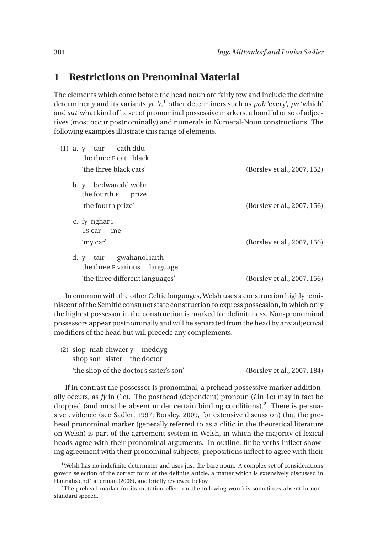# **1 Restrictions on Prenominal Material**

The elements which come before the head noun are fairly few and include the definite determiner *y* and its variants *yr, 'r*, <sup>1</sup> other determiners such as *pob* 'every', *pa* 'which' and *sut* 'what kind of', a set of pronominal possessive markers, a handful or so of adjectives (most occur postnominally) and numerals in Numeral-Noun constructions. The following examples illustrate this range of elements.

| $(1)$ a. y tair cath ddu<br>the three.F cat black                                                    |                             |
|------------------------------------------------------------------------------------------------------|-----------------------------|
| 'the three black cats'                                                                               | (Borsley et al., 2007, 152) |
| bedwaredd wobr<br>$\mathbf{b}$ . $\mathbf{y}$<br>the fourth.F<br>prize                               |                             |
| 'the fourth prize'                                                                                   | (Borsley et al., 2007, 156) |
| c. fy nghari<br>1s car<br>me<br>'my car'                                                             | (Borsley et al., 2007, 156) |
| gwahanol iaith<br>d. y<br>tair<br>the three.F various<br>language<br>'the three different languages' | (Borsley et al., 2007, 156) |

In common with the other Celtic languages, Welsh uses a construction highly reminiscent of the Semitic construct state construction to express possession, in which only the highest possessor in the construction is marked for definiteness. Non-pronominal possessors appear postnominally and will be separated from the head by any adjectival modifiers of the head but will precede any complements.

| $(2)$ siop mab chwaer y meddyg          |                             |
|-----------------------------------------|-----------------------------|
| shop son sister the doctor              |                             |
| 'the shop of the doctor's sister's son' | (Borsley et al., 2007, 184) |

If in contrast the possessor is pronominal, a prehead possessive marker additionally occurs, as  $f_y$  in (1c). The posthead (dependent) pronoun ( $i$  in 1c) may in fact be dropped (and must be absent under certain binding conditions).<sup>2</sup> There is persuasive evidence (see Sadler, 1997; Borsley, 2009, for extensive discussion) that the prehead pronominal marker (generally referred to as a clitic in the theoretical literature on Welsh) is part of the agreement system in Welsh, in which the majority of lexical heads agree with their pronominal arguments. In outline, finite verbs inflect showing agreement with their pronominal subjects, prepositions inflect to agree with their

 $1$ Welsh has no indefinite determiner and uses just the bare noun. A complex set of considerations govern selection of the correct form of the definite article, a matter which is extensively discussed in Hannahs and Tallerman (2006), and briefly reviewed below.

 $2$ The prehead marker (or its mutation effect on the following word) is sometimes absent in nonstandard speech.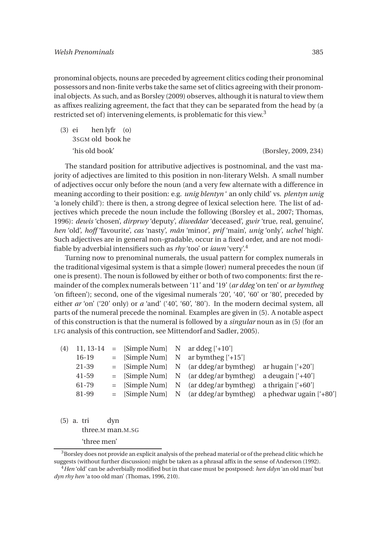pronominal objects, nouns are preceded by agreement clitics coding their pronominal possessors and non-finite verbs take the same set of clitics agreeing with their pronominal objects. As such, and as Borsley (2009) observes, although it is natural to view them as affixes realizing agreement, the fact that they can be separated from the head by (a restricted set of) intervening elements, is problematic for this view.<sup>3</sup>

(3) ei 3SGM old book he hen lyfr (o) 'his old book' (Borsley, 2009, 234)

The standard position for attributive adjectives is postnominal, and the vast majority of adjectives are limited to this position in non-literary Welsh. A small number of adjectives occur only before the noun (and a very few alternate with a difference in meaning according to their position: e.g. *unig blentyn* ' an only child' vs. *plentyn unig* 'a lonely child'): there is then, a strong degree of lexical selection here. The list of adjectives which precede the noun include the following (Borsley et al., 2007; Thomas, 1996): *dewis* 'chosen', *dirprwy* 'deputy', *diweddar* 'deceased', *gwir* 'true, real, genuine', *hen* 'old', *hoff* 'favourite', *cas* 'nasty', *mân* 'minor', *prif* 'main', *unig* 'only', *uchel* 'high'. Such adjectives are in general non-gradable, occur in a fixed order, and are not modifiable by adverbial intensifiers such as *rhy* 'too' or *iawn* 'very'.<sup>4</sup>

Turning now to prenominal numerals, the usual pattern for complex numerals in the traditional vigesimal system is that a simple (lower) numeral precedes the noun (if one is present). The noun is followed by either or both of two components: first the remainder of the complex numerals between '11' and '19' (*ar ddeg* 'on ten' or *ar bymtheg* 'on fifteen'); second, one of the vigesimal numerals '20', '40', '60' or '80', preceded by either *ar* 'on' ('20' only) or *a* 'and' ('40', '60', '80'). In the modern decimal system, all parts of the numeral precede the nominal. Examples are given in (5). A notable aspect of this construction is that the numeral is followed by a *singular* noun as in (5) (for an LFG analysis of this contruction, see Mittendorf and Sadler, 2005).

|       | $(4)$ 11, 13-14 = [Simple Num] N ar ddeg ['+10'] |                                                            |                                                                 |
|-------|--------------------------------------------------|------------------------------------------------------------|-----------------------------------------------------------------|
| 16-19 |                                                  | $=$ [Simple Num] N ar bymtheg ['+15']                      |                                                                 |
| 21-39 |                                                  | $=$ [Simple Num] N (ar ddeg/ar bymtheg)                    | ar hugain $[420]$                                               |
| 41-59 |                                                  | $=$ [Simple Num] N (ar ddeg/ar bymtheg)                    | a deugain ['+40']                                               |
| 61-79 |                                                  | $=$ [Simple Num] N (ar ddeg/ar bymtheg) a thrigain ['+60'] |                                                                 |
| 81-99 |                                                  |                                                            | $=$ [Simple Num] N (ar ddeg/ar bymtheg) a phedwar ugain $[480]$ |
|       |                                                  |                                                            |                                                                 |

(5) a. tri three.M man.M.SG dyn 'three men'

<sup>3</sup>Borsley does not provide an explicit analysis of the prehead material or of the prehead clitic which he suggests (without further discussion) might be taken as a phrasal affix in the sense of Anderson (1992).

<sup>4</sup>*Hen* 'old' can be adverbially modified but in that case must be postposed: *hen ddyn* 'an old man' but *dyn rhy hen* 'a too old man' (Thomas, 1996, 210).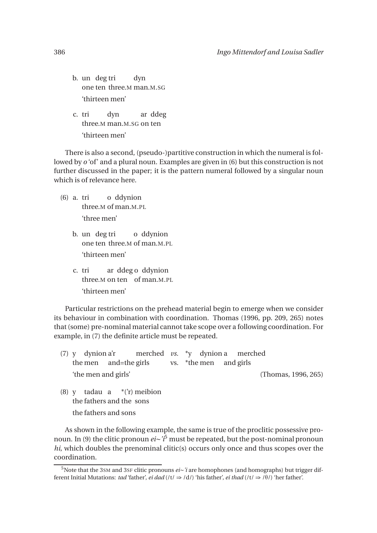- b. un deg tri one ten three.M man.M.SG dyn 'thirteen men'
- c. tri three.M man.M.SG on ten dyn ar ddeg 'thirteen men'

There is also a second, (pseudo-)partitive construction in which the numeral is followed by *o* 'of' and a plural noun. Examples are given in (6) but this construction is not further discussed in the paper; it is the pattern numeral followed by a singular noun which is of relevance here.

- (6) a. tri three.M of man.M.PL o ddynion 'three men'
	- b. un deg tri one ten three.M of man.M.PL o ddynion 'thirteen men'
	- c. tri three.M on ten of man.M.PL ar ddeg o ddynion 'thirteen men'

Particular restrictions on the prehead material begin to emerge when we consider its behaviour in combination with coordination. Thomas (1996, pp. 209, 265) notes that (some) pre-nominal material cannot take scope over a following coordination. For example, in (7) the definite article must be repeated.

- (7) y dynion a'r the men and=the girls merched *vs.* vs. \*the men \*y dynion a and girls merched 'the men and girls' (Thomas, 1996, 265)
- (8) y tadau a \*('r) meibion the fathers and the sons the fathers and sons

As shown in the following example, the same is true of the proclitic possessive pronoun. In (9) the clitic pronoun *ei*∼*'i*<sup>5</sup> must be repeated, but the post-nominal pronoun *hi*, which doubles the prenominal clitic(s) occurs only once and thus scopes over the coordination.

<sup>5</sup>Note that the 3SM and 3SF clitic pronouns *ei*∼*'i* are homophones (and homographs) but trigger different Initial Mutations: *tad* 'father', *ei dad* (/t/  $\Rightarrow$  /d/) 'his father', *ei thad* (/t/  $\Rightarrow$  / $\theta$ /) 'her father'.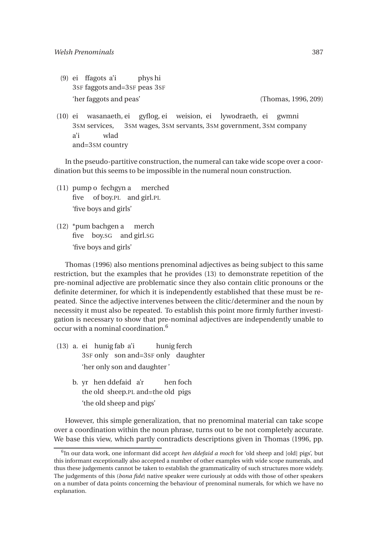(9) ei ffagots a'i 3SF faggots and=3SF peas 3SF phys hi 'her faggots and peas' (Thomas, 1996, 209)

(10) ei wasanaeth, ei gyflog, ei weision, ei 3SM services, 3SM wages, 3SM servants, 3SM government, 3SM company lywodraeth, ei gwmni a'i and=3SM country wlad

In the pseudo-partitive construction, the numeral can take wide scope over a coordination but this seems to be impossible in the numeral noun construction.

- (11) pump o fechgyn a five of boy.PL and girl.PL merched 'five boys and girls'
- (12) \*pum bachgen a five boy.SG and girl.SG merch 'five boys and girls'

Thomas (1996) also mentions prenominal adjectives as being subject to this same restriction, but the examples that he provides (13) to demonstrate repetition of the pre-nominal adjective are problematic since they also contain clitic pronouns or the definite determiner, for which it is independently established that these must be repeated. Since the adjective intervenes between the clitic/determiner and the noun by necessity it must also be repeated. To establish this point more firmly further investigation is necessary to show that pre-nominal adjectives are independently unable to occur with a nominal coordination.<sup>6</sup>

- (13) a. ei hunig fab a'i 3SF only son and=3SF only daughter hunig ferch 'her only son and daughter '
	- b. yr hen ddefaid a'r the old sheep.PL and=the old pigs hen foch 'the old sheep and pigs'

However, this simple generalization, that no prenominal material can take scope over a coordination within the noun phrase, turns out to be not completely accurate. We base this view, which partly contradicts descriptions given in Thomas (1996, pp.

<sup>6</sup> In our data work, one informant did accept *hen ddefaid a moch* for 'old sheep and [old] pigs', but this informant exceptionally also accepted a number of other examples with wide scope numerals, and thus these judgements cannot be taken to establish the grammaticality of such structures more widely. The judgements of this (*bona fide*) native speaker were curiously at odds with those of other speakers on a number of data points concerning the behaviour of prenominal numerals, for which we have no explanation.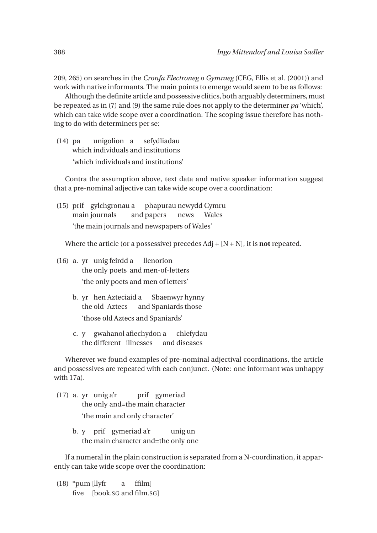209, 265) on searches in the *Cronfa Electroneg o Gymraeg* (CEG, Ellis et al. (2001)) and work with native informants. The main points to emerge would seem to be as follows:

Although the definite article and possessive clitics, both arguably determiners, must be repeated as in (7) and (9) the same rule does not apply to the determiner *pa* 'which', which can take wide scope over a coordination. The scoping issue therefore has nothing to do with determiners per se:

(14) pa which individuals and institutions unigolion a sefydliadau 'which individuals and institutions'

Contra the assumption above, text data and native speaker information suggest that a pre-nominal adjective can take wide scope over a coordination:

(15) prif gylchgronau a phapurau newydd Cymru main journals and papers news Wales 'the main journals and newspapers of Wales'

Where the article (or a possessive) precedes Adj + [N + N], it is **not** repeated.

- (16) a. yr unig feirdd a the only poets and men-of-letters llenorion 'the only poets and men of letters'
	- b. yr hen Azteciaid a the old Aztecs and Spaniards those Sbaenwyr hynny 'those old Aztecs and Spaniards'
	- c. y gwahanol afiechydon a the different illnesses and diseases chlefydau

Wherever we found examples of pre-nominal adjectival coordinations, the article and possessives are repeated with each conjunct. (Note: one informant was unhappy with 17a).

- (17) a. yr unig a'r the only and=the main character prif gymeriad 'the main and only character'
	- b. y prif gymeriad a'r the main character and=the only one unig un

If a numeral in the plain construction is separated from a N-coordination, it apparently can take wide scope over the coordination:

(18) \*pum [llyfr five [book.SG and film.SG]a ffilm]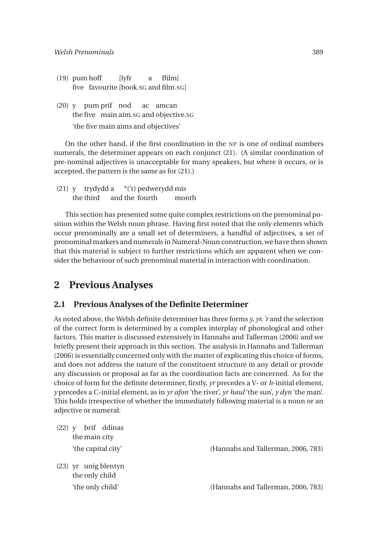- (19) pum hoff five favourite [book.SG and film.SG] [lyfr a ffilm]
- (20) y pum prif nod the five main aim.SG and objective.SG ac amcan 'the five main aims and objectives'

On the other hand, if the first coordination in the NP is one of ordinal numbers numerals, the determiner appears on each conjunct (21). (A similar coordination of pre-nominal adjectives is unacceptable for many speakers, but where it occurs, or is accepted, the pattern is the same as for (21).)

(21) y trydydd a the third and the fourth \*('r) pedwerydd mis month

This section has presented some quite complex restrictions on the prenominal position within the Welsh noun phrase. Having first noted that the only elements which occur prenominally are a small set of determiners, a handful of adjectives, a set of pronominal markers and numerals in Numeral-Noun construction,we have then shown that this material is subject to further restrictions which are apparent when we consider the behaviour of such prenominal material in interaction with coordination.

#### **2 Previous Analyses**

#### **2.1 Previous Analyses of the Definite Determiner**

As noted above, the Welsh definite determiner has three forms *y, yr, 'r* and the selection of the correct form is determined by a complex interplay of phonological and other factors. This matter is discussed extensively in Hannahs and Tallerman (2006) and we briefly present their approach in this section. The analysis in Hannahs and Tallerman (2006) is essentially concerned only with the matter of explicating this choice of forms, and does not address the nature of the constituent structure in any detail or provide any discussion or proposal as far as the coordination facts are concerned. As for the choice of form for the definite determiner, firstly, *yr* precedes a V- or *h*-initial element, *y* precedes a C-initial element, as in *yr afon* 'the river', *yr haul* 'the sun', *y dyn* 'the man'. This holds irrespective of whether the immediately following material is a noun or an adjective or numeral:

| (22) | brif ddinas<br>the main city             |                                    |
|------|------------------------------------------|------------------------------------|
|      | 'the capital city'                       | (Hannahs and Tallerman, 2006, 783) |
|      | $(23)$ yr unig blentyn<br>the only child |                                    |
|      | 'the only child'                         | (Hannahs and Tallerman, 2006, 783) |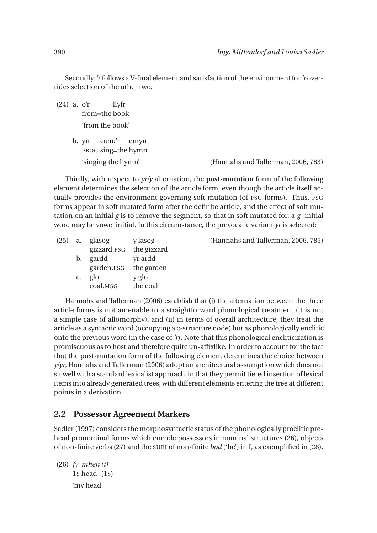Secondly, *'r* follows a V-final element and satisfaction of the environment for*'r* overrides selection of the other two.

(24) a. o'r from=the book llyfr 'from the book'

> b. yn PROG sing=the hymn canu'r emyn

'singing the hymn' (Hannahs and Tallerman, 2006, 783)

Thirdly, with respect to *yr/y* alternation, the **post-mutation** form of the following element determines the selection of the article form, even though the article itself actually provides the environment governing soft mutation (of FSG forms). Thus, FSG forms appear in soft mutated form after the definite article, and the effect of soft mutation on an initial *g* is to remove the segment, so that in soft mutated for, a *g-* initial word may be vowel initial. In this circumstance, the prevocalic variant *yr* is selected:

|    | $(25)$ a. glasog        | y lasog  | (Hannahs and Tallerman, 2006, 785) |
|----|-------------------------|----------|------------------------------------|
|    | gizzard.FSG the gizzard |          |                                    |
|    | b. gardd                | vr ardd  |                                    |
|    | garden.FSG the garden   |          |                                    |
| C. | glo                     | y glo    |                                    |
|    | coal.MSG                | the coal |                                    |

Hannahs and Tallerman (2006) establish that (i) the alternation between the three article forms is not amenable to a straightforward phonological treatment (it is not a simple case of allomorphy), and (ii) in terms of overall architecture, they treat the article as a syntactic word (occupying a c-structure node) but as phonologically enclitic onto the previous word (in the case of *'r*). Note that this phonological encliticization is promiscuous as to host and therefore quite un-affixlike. In order to account for the fact that the post-mutation form of the following element determines the choice between *y/yr*, Hannahs and Tallerman (2006) adopt an architectural assumption which does not sit well with a standard lexicalist approach, in that they permit tiered insertion of lexical items into already generated trees, with different elements entering the tree at different points in a derivation.

#### **2.2 Possessor Agreement Markers**

Sadler (1997) considers the morphosyntactic status of the phonologically proclitic prehead pronominal forms which encode possessors in nominal structures (26), objects of non-finite verbs (27) and the SUBJ of non-finite *bod* ('be') in I, as exemplified in (28).

(26) *fy mhen (i)* 1S head (1S) 'my head'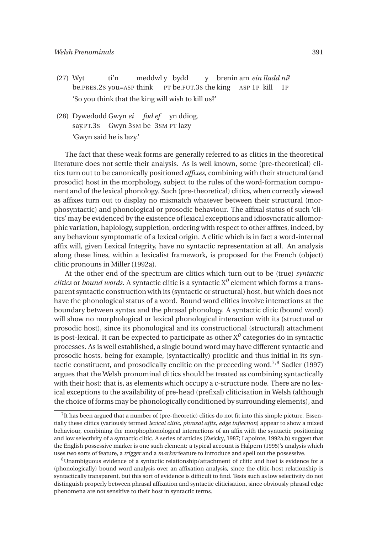- (27) Wyt be.PRES.2S you=ASP think ti'n meddwl y bydd PT be.FUT.3S the king ASP 1P kill y brenin am *ein lladd ni*? 1P 'So you think that the king will wish to kill us?'
- (28) Dywedodd Gwyn *ei fod ef* yn ddiog. say.PT.3S Gwyn 3SM be 3SM PT lazy 'Gwyn said he is lazy.'

The fact that these weak forms are generally referred to as clitics in the theoretical literature does not settle their analysis. As is well known, some (pre-theoretical) clitics turn out to be canonically positioned *affixes*, combining with their structural (and prosodic) host in the morphology, subject to the rules of the word-formation component and of the lexical phonology. Such (pre-theoretical) clitics, when correctly viewed as affixes turn out to display no mismatch whatever between their structural (morphosyntactic) and phonological or prosodic behaviour. The affixal status of such 'clitics' may be evidenced by the existence of lexical exceptions and idiosyncratic allomorphic variation, haplology, suppletion, ordering with respect to other affixes, indeed, by any behaviour symptomatic of a lexical origin. A clitic which is in fact a word-internal affix will, given Lexical Integrity, have no syntactic representation at all. An analysis along these lines, within a lexicalist framework, is proposed for the French (object) clitic pronouns in Miller (1992a).

At the other end of the spectrum are clitics which turn out to be (true) *syntactic clitics* or *bound words*. A syntactic clitic is a syntactic  $X^0$  element which forms a transparent syntactic construction with its (syntactic or structural) host, but which does not have the phonological status of a word. Bound word clitics involve interactions at the boundary between syntax and the phrasal phonology. A syntactic clitic (bound word) will show no morphological or lexical phonological interaction with its (structural or prosodic host), since its phonological and its constructional (structural) attachment is post-lexical. It can be expected to participate as other  $\mathrm{X}^0$  categories do in syntactic processes. As is well established, a single bound word may have different syntactic and prosodic hosts, being for example, (syntactically) proclitic and thus initial in its syntactic constituent, and prosodically enclitic on the preceeding word.<sup>7,8</sup> Sadler (1997) argues that the Welsh pronominal clitics should be treated as combining syntactically with their host: that is, as elements which occupy a c-structure node. There are no lexical exceptions to the availability of pre-head (prefixal) cliticisation in Welsh (although the choice of forms may be phonologically conditioned by surrounding elements), and

<sup>&</sup>lt;sup>7</sup>It has been argued that a number of (pre-theoretic) clitics do not fit into this simple picture. Essentially these clitics (variously termed *lexical clitic, phrasal affix, edge inflection*) appear to show a mixed behaviour, combining the morphophonological interactions of an affix with the syntactic positioning and low selectivity of a syntactic clitic. A series of articles (Zwicky, 1987; Lapointe, 1992a,b) suggest that the English possessive marker is one such element: a typical account is Halpern (1995)'s analysis which uses two sorts of feature, a *trigger* and a *marker* feature to introduce and spell out the possessive.

<sup>8</sup>Unambiguous evidence of a syntactic relationship/attachment of clitic and host is evidence for a (phonologically) bound word analysis over an affixation analysis, since the clitic-host relationship is syntactically transparent, but this sort of evidence is difficult to find. Tests such as low selectivity do not distinguish properly between phrasal affixation and syntactic cliticisation, since obviously phrasal edge phenomena are not sensitive to their host in syntactic terms.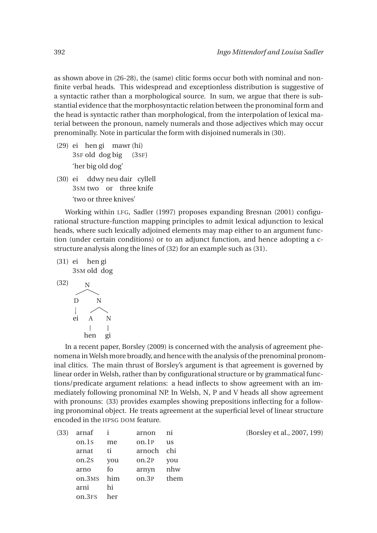as shown above in (26-28), the (same) clitic forms occur both with nominal and nonfinite verbal heads. This widespread and exceptionless distribution is suggestive of a syntactic rather than a morphological source. In sum, we argue that there is substantial evidence that the morphosyntactic relation between the pronominal form and the head is syntactic rather than morphological, from the interpolation of lexical material between the pronoun, namely numerals and those adjectives which may occur prenominally. Note in particular the form with disjoined numerals in (30).

- (29) ei hen gi mawr (hi) 3SF old dog big (3SF) 'her big old dog'
- (30) ei ddwy neu dair cyllell 3SM two or three knife 'two or three knives'

Working within LFG, Sadler (1997) proposes expanding Bresnan (2001) configurational structure-function mapping principles to admit lexical adjunction to lexical heads, where such lexically adjoined elements may map either to an argument function (under certain conditions) or to an adjunct function, and hence adopting a cstructure analysis along the lines of (32) for an example such as (31).

(31) ei hen gi 3SM old dog (32) <sup>N</sup> D ei N A hen N gi

In a recent paper, Borsley (2009) is concerned with the analysis of agreement phenomena in Welsh more broadly, and hence with the analysis of the prenominal pronominal clitics. The main thrust of Borsley's argument is that agreement is governed by linear order in Welsh, rather than by configurational structure or by grammatical functions/predicate argument relations: a head inflects to show agreement with an immediately following pronominal NP. In Welsh, N, P and V heads all show agreement with pronouns: (33) provides examples showing prepositions inflecting for a following pronominal object. He treats agreement at the superficial level of linear structure encoded in the HPSG DOM feature.

| (33) | arnaf              |     | arnon  | ni   |
|------|--------------------|-----|--------|------|
|      | on.1s              | me  | on.1P  | us   |
|      | arnat              | ti  | arnoch | chi  |
|      | on.2s              | you | on.2P  | you  |
|      | arno               | fo  | arnyn  | nhw  |
|      | on.3MS             | him | on.3P  | them |
|      | arni               | hi  |        |      |
|      | on.3 <sub>FS</sub> | her |        |      |
|      |                    |     |        |      |

(Borsley et al., 2007, 199)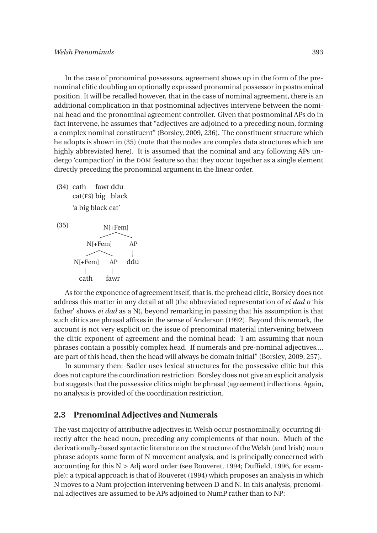In the case of pronominal possessors, agreement shows up in the form of the prenominal clitic doubling an optionally expressed pronominal possessor in postnominal position. It will be recalled however, that in the case of nominal agreement, there is an additional complication in that postnominal adjectives intervene between the nominal head and the pronominal agreement controller. Given that postnominal APs do in fact intervene, he assumes that "adjectives are adjoined to a preceding noun, forming a complex nominal constituent" (Borsley, 2009, 236). The constituent structure which he adopts is shown in (35) (note that the nodes are complex data structures which are highly abbreviated here). It is assumed that the nominal and any following APs undergo 'compaction' in the DOM feature so that they occur together as a single element directly preceding the pronominal argument in the linear order.

(34) cath cat(FS) big black fawr ddu 'a big black cat'

 $N[+Fem]$ N[+Fem] AP N[+Fem] AP ddu  $\overline{\phantom{a}}$  $\overline{\phantom{a}}$ cath fawr

As for the exponence of agreement itself, that is, the prehead clitic, Borsley does not address this matter in any detail at all (the abbreviated representation of *ei dad o* 'his father' shows *ei dad* as a N), beyond remarking in passing that his assumption is that such clitics are phrasal affixes in the sense of Anderson (1992). Beyond this remark, the account is not very explicit on the issue of prenominal material intervening between the clitic exponent of agreement and the nominal head: 'I am assuming that noun phrases contain a possibly complex head. If numerals and pre-nominal adjectives.... are part of this head, then the head will always be domain initial" (Borsley, 2009, 257).

In summary then: Sadler uses lexical structures for the possessive clitic but this does not capture the coordination restriction. Borsley does not give an explicit analysis but suggests that the possessive clitics might be phrasal (agreement) inflections. Again, no analysis is provided of the coordination restriction.

#### **2.3 Prenominal Adjectives and Numerals**

The vast majority of attributive adjectives in Welsh occur postnominally, occurring directly after the head noun, preceding any complements of that noun. Much of the derivationally-based syntactic literature on the structure of the Welsh (and Irish) noun phrase adopts some form of N movement analysis, and is principally concerned with accounting for this N > Adj word order (see Rouveret, 1994; Duffield, 1996, for example): a typical approach is that of Rouveret (1994) which proposes an analysis in which N moves to a Num projection intervening between D and N. In this analysis, prenominal adjectives are assumed to be APs adjoined to NumP rather than to NP: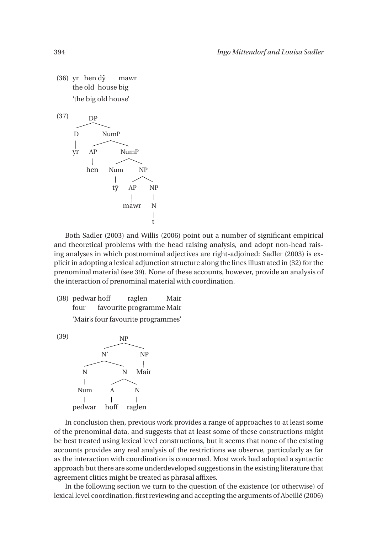$(36)$  yr hend $\hat{y}$ the old house big mawr 'the big old house'



Both Sadler (2003) and Willis (2006) point out a number of significant empirical and theoretical problems with the head raising analysis, and adopt non-head raising analyses in which postnominal adjectives are right-adjoined: Sadler (2003) is explicit in adopting a lexical adjunction structure along the lines illustrated in (32) for the prenominal material (see 39). None of these accounts, however, provide an analysis of the interaction of prenominal material with coordination.

(38) pedwar hoff four favourite programme Mair raglen Mair 'Mair's four favourite programmes'



In conclusion then, previous work provides a range of approaches to at least some of the prenominal data, and suggests that at least some of these constructions might be best treated using lexical level constructions, but it seems that none of the existing accounts provides any real analysis of the restrictions we observe, particularly as far as the interaction with coordination is concerned. Most work had adopted a syntactic approach but there are some underdeveloped suggestions in the existing literature that agreement clitics might be treated as phrasal affixes.

In the following section we turn to the question of the existence (or otherwise) of lexical level coordination, first reviewing and accepting the arguments of Abeillé (2006)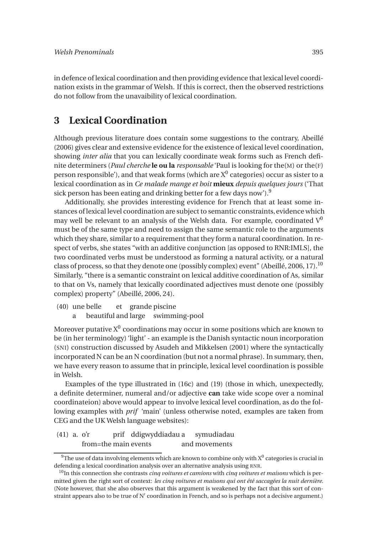in defence of lexical coordination and then providing evidence that lexical level coordination exists in the grammar of Welsh. If this is correct, then the observed restrictions do not follow from the unavaibility of lexical coordination.

# **3 Lexical Coordination**

Although previous literature does contain some suggestions to the contrary, Abeillé (2006) gives clear and extensive evidence for the existence of lexical level coordination, showing *inter alia* that you can lexically coordinate weak forms such as French definite determiners (*Paul cherche* **le ou la** *responsable* 'Paul is looking for the(M) or the(F) person responsible'), and that weak forms (which are  $\mathrm{X}^0$  categories) occur as sister to a lexical coordination as in *Ce malade mange et boit* **mieux** *depuis quelques jours* ('That sick person has been eating and drinking better for a few days now').<sup>9</sup>

Additionally, she provides interesting evidence for French that at least some instances of lexical level coordination are subject to semantic constraints, evidence which may well be relevant to an analysis of the Welsh data. For example, coordinated  $V^0$ must be of the same type and need to assign the same semantic role to the arguments which they share, similar to a requirement that they form a natural coordination. In respect of verbs, she states "with an additive conjunction [as opposed to RNR:IMLS], the two coordinated verbs must be understood as forming a natural activity, or a natural class of process, so that they denote one (possibly complex) event" (Abeillé, 2006, 17).<sup>10</sup> Similarly, "there is a semantic constraint on lexical additive coordination of As, similar to that on Vs, namely that lexically coordinated adjectives must denote one (possibly complex) property" (Abeillé, 2006, 24).

- (40) une belle et grande piscine
	- a beautiful and large swimming-pool

Moreover putative  $\mathrm{X}^0$  coordinations may occur in some positions which are known to be (in her terminology) 'light' - an example is the Danish syntactic noun incorporation (SNI) construction discussed by Asudeh and Mikkelsen (2001) where the syntactically incorporated N can be an N coordination (but not a normal phrase). In summary, then, we have every reason to assume that in principle, lexical level coordination is possible in Welsh.

Examples of the type illustrated in (16c) and (19) (those in which, unexpectedly, a definite determiner, numeral and/or adjective **can** take wide scope over a nominal coordinateion) above would appear to involve lexical level coordination, as do the following examples with *prif* 'main' (unless otherwise noted, examples are taken from CEG and the UK Welsh language websites):

#### (41) a. o'r from=the main events prif ddigwyddiadau a and movements symudiadau

 $^9$ The use of data involving elements which are known to combine only with  $\mathrm{X}^{0}$  categories is crucial in defending a lexical coordination analysis over an alternative analysis using RNR.

<sup>10</sup>In this connection she contrasts *cinq voitures et camions* with *cinq voitures et maisons* which is permitted given the right sort of context: *les cinq voitures et maisons qui ont été saccagées la nuit dernière*. (Note however, that she also observes that this argument is weakened by the fact that this sort of constraint appears also to be true of  $N'$  coordination in French, and so is perhaps not a decisive argument.)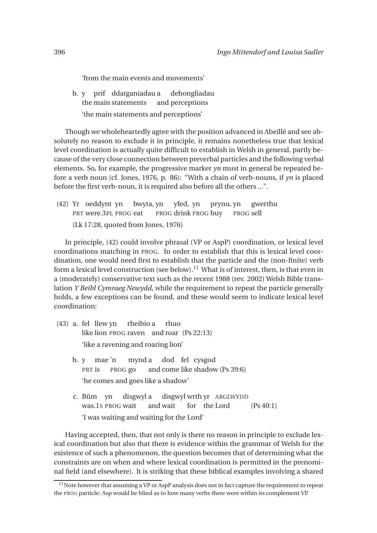'from the main events and movements'

b. y prif ddatganiadau a the main statements and perceptions dehongliadau 'the main statements and perceptions'

Though we wholeheartedly agree with the position advanced in Abeillé and see absolutely no reason to exclude it in principle, it remains nonetheless true that lexical level coordination is actually quite difficult to establish in Welsh in general, partly because of the very close connection between preverbal particles and the following verbal elements. So, for example, the progressive marker *yn* must in general be repeated before a verb noun (cf. Jones, 1976, p. 86): "With a chain of verb-nouns, if *yn* is placed before the first verb-noun, it is required also before all the others ...".

(42) Yr oeddynt yn PRT were.3PL PROG eat bwyta, yn PROG drink PROG buy yfed, yn prynu, yn PROG sell gwerthu (Lk 17:28, quoted from Jones, 1976)

In principle, (42) could involve phrasal (VP or AspP) coordination, or lexical level coordinations matching in PROG. In order to establish that this is lexical level coordination, one would need first to establish that the particle and the (non-finite) verb form a lexical level construction (see below).<sup>11</sup> What is of interest, then, is that even in a (moderately) conservative text such as the recent 1988 (rev. 2002) Welsh Bible translation *Y Beibl Cymraeg Newydd*, while the requirement to repeat the particle generally holds, a few exceptions can be found, and these would seem to indicate lexical level coordination:

- (43) a. fel llew yn like lion PROG raven and roar (Ps 22:13) rheibio a rhuo 'like a ravening and roaring lion'
	- b. y PRT is mae 'n PROG go mynd a and come like shadow (Ps 39:6) dod fel cysgod 'he comes and goes like a shadow'
	- c. Bûm yn was.1S PROG wait disgwyl a and wait disgwyl wrth yr ARGLWYDD for the  $(Ps 40:1)$ 'I was waiting and waiting for the Lord'

Having accepted, then, that not only is there no reason in principle to exclude lexical coordination but also that there is evidence within the grammar of Welsh for the existence of such a phenomenon, the question becomes that of determining what the constraints are on when and where lexical coordination is permitted in the prenominal field (and elsewhere). It is striking that these biblical examples involving a shared

<sup>&</sup>lt;sup>11</sup>Note however that assuming a VP or AspP analysis does not in fact capture the requirement to repeat the PROG particle: Asp would be blind as to how many verbs there were within its complement VP.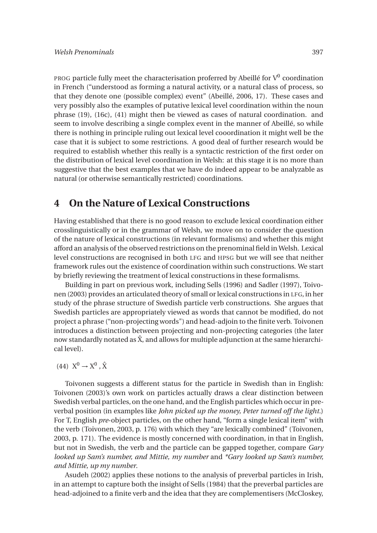<code>PROG</code> particle fully meet the characterisation proferred by Abeillé for  $\mathrm{V}^0$  coordination in French ("understood as forming a natural activity, or a natural class of process, so that they denote one (possible complex) event" (Abeillé, 2006, 17). These cases and very possibly also the examples of putative lexical level coordination within the noun phrase (19), (16c), (41) might then be viewed as cases of natural coordination. and seem to involve describing a single complex event in the manner of Abeillé, so while there is nothing in principle ruling out lexical level cooordination it might well be the case that it is subject to some restrictions. A good deal of further research would be required to establish whether this really is a syntactic restriction of the first order on the distribution of lexical level coordination in Welsh: at this stage it is no more than suggestive that the best examples that we have do indeed appear to be analyzable as natural (or otherwise semantically restricted) coordinations.

## **4 On the Nature of Lexical Constructions**

Having established that there is no good reason to exclude lexical coordination either crosslinguistically or in the grammar of Welsh, we move on to consider the question of the nature of lexical constructions (in relevant formalisms) and whether this might afford an analysis of the observed restrictions on the prenominal field in Welsh. Lexical level constructions are recognised in both LFG and HPSG but we will see that neither framework rules out the existence of coordination within such constructions. We start by briefly reviewing the treatment of lexical constructions in these formalisms.

Building in part on previous work, including Sells (1996) and Sadler (1997), Toivonen (2003) provides an articulated theory of small or lexical constructions in LFG, in her study of the phrase structure of Swedish particle verb constructions. She argues that Swedish particles are appropriately viewed as words that cannot be modified, do not project a phrase ("non-projecting words") and head-adjoin to the finite verb. Toivonen introduces a distinction between projecting and non-projecting categories (the later now standardly notated as  $\hat{X}$ , and allows for multiple adjunction at the same hierarchical level).

(44)  $X^0 \rightarrow X^0$ ,  $\hat{X}$ 

Toivonen suggests a different status for the particle in Swedish than in English: Toivonen (2003)'s own work on particles actually draws a clear distinction between Swedish verbal particles, on the one hand, and the English particles which occur in preverbal position (in examples like *John picked up the money, Peter turned off the light.*) For T, English *pre*-object particles, on the other hand, "form a single lexical item" with the verb (Toivonen, 2003, p. 176) with which they "are lexically combined" (Toivonen, 2003, p. 171). The evidence is mostly concerned with coordination, in that in English, but not in Swedish, the verb and the particle can be gapped together, compare *Gary looked up Sam's number, and Mittie, my number* and *\*Gary looked up Sam's number, and Mittie, up my number*.

Asudeh (2002) applies these notions to the analysis of preverbal particles in Irish, in an attempt to capture both the insight of Sells (1984) that the preverbal particles are head-adjoined to a finite verb and the idea that they are complementisers (McCloskey,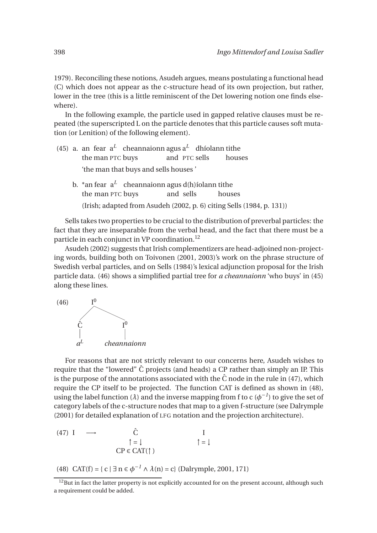1979). Reconciling these notions, Asudeh argues, means postulating a functional head (C) which does not appear as the c-structure head of its own projection, but rather, lower in the tree (this is a little reminiscent of the Det lowering notion one finds elsewhere).

In the following example, the particle used in gapped relative clauses must be repeated (the superscripted L on the particle denotes that this particle causes soft mutation (or Lenition) of the following element).

- (45) a. an fear  $a^L$  cheannaionn agus  $a^L$  dhíolann tithe the man PTC buys and PTC sells houses 'the man that buys and sells houses '
	- b.  $^*$ an fear $\;$ a $^L$   $\;$  cheannaionn agus d(h)íolann tithe the man PTC buys and sells houses (Irish; adapted from Asudeh (2002, p. 6) citing Sells (1984, p. 131))

Sells takes two properties to be crucial to the distribution of preverbal particles: the fact that they are inseparable from the verbal head, and the fact that there must be a particle in each conjunct in VP coordination.<sup>12</sup>

Asudeh (2002) suggests that Irish complementizers are head-adjoined non-projecting words, building both on Toivonen (2001, 2003)'s work on the phrase structure of Swedish verbal particles, and on Sells (1984)'s lexical adjunction proposal for the Irish particle data. (46) shows a simplified partial tree for *a cheannaionn* 'who buys' in (45) along these lines.



For reasons that are not strictly relevant to our concerns here, Asudeh wishes to require that the "lowered"  $\hat{C}$  projects (and heads) a CP rather than simply an IP. This is the purpose of the annotations associated with the  $\hat{C}$  node in the rule in (47), which require the CP itself to be projected. The function CAT is defined as shown in (48), using the label function ( $\lambda$ ) and the inverse mapping from f to c ( $\phi^{-1}$ ) to give the set of category labels of the c-structure nodes that map to a given f-structure (see Dalrymple (2001) for detailed explanation of LFG notation and the projection architecture).

(47) I 
$$
\longrightarrow
$$
  $\hat{C}$  I  
\n $\uparrow = \downarrow$   $\uparrow = \downarrow$   $\uparrow = \downarrow$ 

(48) CAT(f) = { $c | \exists n \in \phi^{-1} \land \lambda(n) = c$ } (Dalrymple, 2001, 171)

 $12$ But in fact the latter property is not explicitly accounted for on the present account, although such a requirement could be added.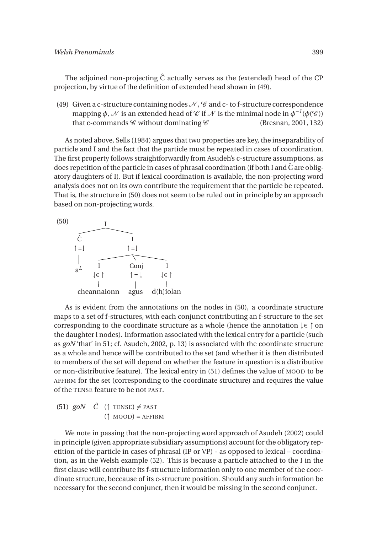The adjoined non-projecting  $\hat{C}$  actually serves as the (extended) head of the CP projection, by virtue of the definition of extended head shown in (49).

(49) Given a c-structure containing nodes  $\mathcal{N}, \mathcal{C}$  and c- to f-structure correspondence mapping  $\phi$ ,  $\mathcal N$  is an extended head of  $\mathscr C$  if  $\mathcal N$  is the minimal node in  $\phi^{-1}(\phi(\mathscr C))$ that c-commands  $\mathscr C$  without dominating  $\mathscr C$  (Bresnan, 2001, 132)

As noted above, Sells (1984) argues that two properties are key, the inseparability of particle and I and the fact that the particle must be repeated in cases of coordination. The first property follows straightforwardly from Asudeh's c-structure assumptions, as does repetition of the particle in cases of phrasal coordination (if both I and  $\hat{C}$  are obligatory daughters of I). But if lexical coordination is available, the non-projecting word analysis does not on its own contribute the requirement that the particle be repeated. That is, the structure in (50) does not seem to be ruled out in principle by an approach based on non-projecting words.



As is evident from the annotations on the nodes in (50), a coordinate structure maps to a set of f-structures, with each conjunct contributing an f-structure to the set corresponding to the coordinate structure as a whole (hence the annotation ↓∈ ↑ on the daughter I nodes). Information associated with the lexical entry for a particle (such as *goN* 'that' in 51; cf. Asudeh, 2002, p. 13) is associated with the coordinate structure as a whole and hence will be contributed to the set (and whether it is then distributed to members of the set will depend on whether the feature in question is a distributive or non-distributive feature). The lexical entry in (51) defines the value of MOOD to be AFFIRM for the set (corresponding to the coordinate structure) and requires the value of the TENSE feature to be not PAST.

 $(51)$  *goN*  $\hat{C}$  (1 TENSE)  $\neq$  PAST  $($ ↑ MOOD) = AFFIRM

We note in passing that the non-projecting word approach of Asudeh (2002) could in principle (given appropriate subsidiary assumptions) account for the obligatory repetition of the particle in cases of phrasal (IP or VP) - as opposed to lexical – coordination, as in the Welsh example (52). This is because a particle attached to the I in the first clause will contribute its f-structure information only to one member of the coordinate structure, beccause of its c-structure position. Should any such information be necessary for the second conjunct, then it would be missing in the second conjunct.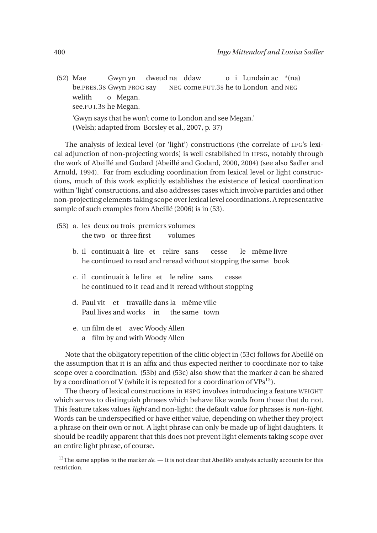(52) Mae be.PRES.3S Gwyn PROG say Gwyn yn dweud na ddaw NEG come.FUT.3S he to London and NEG o i Lundain ac \*(na) welith see.FUT.3S he Megan. o Megan. 'Gwyn says that he won't come to London and see Megan.' (Welsh; adapted from Borsley et al., 2007, p. 37)

The analysis of lexical level (or 'light') constructions (the correlate of LFG's lexical adjunction of non-projecting words) is well established in HPSG, notably through the work of Abeillé and Godard (Abeillé and Godard, 2000, 2004) (see also Sadler and Arnold, 1994). Far from excluding coordination from lexical level or light constructions, much of this work explicitly establishes the existence of lexical coordination within 'light' constructions, and also addresses cases which involve particles and other non-projecting elements taking scope over lexical level coordinations. A representative sample of such examples from Abeillé (2006) is in (53).

- (53) a. les deux ou trois premiers volumes the two or three first volumes
	- b. il continuait à lire et relire sans he continued to read and reread without stopping the same book cesse le même livre
	- c. il continuait à le lire et le relire sans he continued to it read and it reread without stopping cesse
	- d. Paul vit et travaille dans la même ville Paul lives and works in the same town
	- e. un film de et avec Woody Allen a film by and with Woody Allen

Note that the obligatory repetition of the clitic object in (53c) follows for Abeillé on the assumption that it is an affix and thus expected neither to coordinate nor to take scope over a coordination. (53b) and (53c) also show that the marker *à* can be shared by a coordination of V (while it is repeated for a coordination of  $VPs^{13}$ ).

The theory of lexical constructions in HSPG involves introducing a feature WEIGHT which serves to distinguish phrases which behave like words from those that do not. This feature takes values *light* and non-light: the default value for phrases is *non-light*. Words can be underspecified or have either value, depending on whether they project a phrase on their own or not. A light phrase can only be made up of light daughters. It should be readily apparent that this does not prevent light elements taking scope over an entire light phrase, of course.

<sup>&</sup>lt;sup>13</sup>The same applies to the marker *de*. — It is not clear that Abeillé's analysis actually accounts for this restriction.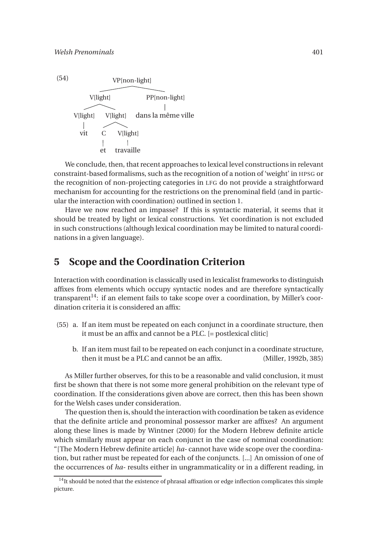

We conclude, then, that recent approaches to lexical level constructions in relevant constraint-based formalisms, such as the recognition of a notion of 'weight' in HPSG or the recognition of non-projecting categories in LFG do not provide a straightforward mechanism for accounting for the restrictions on the prenominal field (and in particular the interaction with coordination) outlined in section 1.

Have we now reached an impasse? If this is syntactic material, it seems that it should be treated by light or lexical constructions. Yet coordination is not excluded in such constructions (although lexical coordination may be limited to natural coordinations in a given language).

#### **5 Scope and the Coordination Criterion**

Interaction with coordination is classically used in lexicalist frameworks to distinguish affixes from elements which occupy syntactic nodes and are therefore syntactically transparent<sup>14</sup>: if an element fails to take scope over a coordination, by Miller's coordination criteria it is considered an affix:

- (55) a. If an item must be repeated on each conjunct in a coordinate structure, then it must be an affix and cannot be a PLC. [= postlexical clitic]
	- b. If an item must fail to be repeated on each conjunct in a coordinate structure, then it must be a PLC and cannot be an affix. (Miller, 1992b, 385)

As Miller further observes, for this to be a reasonable and valid conclusion, it must first be shown that there is not some more general prohibition on the relevant type of coordination. If the considerations given above are correct, then this has been shown for the Welsh cases under consideration.

The question then is, should the interaction with coordination be taken as evidence that the definite article and pronominal possessor marker are affixes? An argument along these lines is made by Wintner (2000) for the Modern Hebrew definite article which similarly must appear on each conjunct in the case of nominal coordination: "[The Modern Hebrew definite article] *ha-* cannot have wide scope over the coordination, but rather must be repeated for each of the conjuncts. [...] An omission of one of the occurrences of *ha-* results either in ungrammaticality or in a different reading, in

 $14$ It should be noted that the existence of phrasal affixation or edge inflection complicates this simple picture.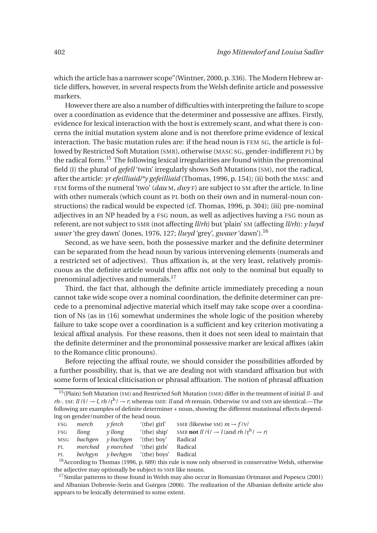which the article has a narrower scope"(Wintner, 2000, p. 336). The Modern Hebrew article differs, however, in several respects from the Welsh definite article and possessive markers.

However there are also a number of difficulties with interpreting the failure to scope over a coordination as evidence that the determiner and possessive are affixes. Firstly, evidence for lexical interaction with the host is extremely scant, and what there is concerns the initial mutation system alone and is not therefore prime evidence of lexical interaction. The basic mutation rules are: if the head noun is FEM SG, the article is followed by Restricted Soft Mutation (SMR), otherwise (MASC SG, gender-indifferent PL) by the radical form.<sup>15</sup> The following lexical irregularities are found within the prenominal field (i) the plural of *gefell* 'twin' irregularly shows Soft Mutations (SM), not the radical, after the article: *yr efeilliaid/\*y gefeilliaid* (Thomas, 1996, p. 154); (ii) both the MASC and FEM forms of the numeral 'two' (*dau* M, *dwy* F) are subject to SM after the article. In line with other numerals (which count as PL both on their own and in numeral-noun constructions) the radical would be expected (cf. Thomas, 1996, p. 304); (iii) pre-nominal adjectives in an NP headed by a FSG noun, as well as adjectives having a FSG noun as referent, are not subject to SMR (not affecting *ll/rh*) but 'plain' SM (affecting *ll/rh*): *y lwyd wawr* 'the grey dawn' (Jones, 1976, 127; *llwyd* 'grey', *gwawr* 'dawn').<sup>16</sup>

Second, as we have seen, both the possessive marker and the definite determiner can be separated from the head noun by various intervening elements (numerals and a restricted set of adjectives). Thus affixation is, at the very least, relatively promiscuous as the definite article would then affix not only to the nominal but equally to prenominal adjectives and numerals.<sup>17</sup>

Third, the fact that, although the definite article immediately preceding a noun cannot take wide scope over a nominal coordination, the definite determiner can precede to a prenominal adjective material which itself may take scope over a coordination of Ns (as in (16) somewhat undermines the whole logic of the position whereby failure to take scope over a coordination is a sufficient and key criterion motivating a lexical affixal analysis. For these reasons, then it does not seen ideal to maintain that the definite determiner and the pronominal possessive marker are lexical affixes (akin to the Romance clitic pronouns).

Before rejecting the affixal route, we should consider the possibilities afforded by a further possibility, that is, that we are dealing not with standard affixation but with some form of lexical cliticisation or phrasal affixation. The notion of phrasal affixation

<sup>15</sup>(Plain) Soft Mutation (SM) and Restricted Soft Mutation (SMR) differ in the treatment of initial *ll-* and *rh*-. SM:  $ll / \frac{1}{4}$   $\rightarrow$  *l*, *rh*  $/\frac{r}{k}$   $\rightarrow$  *r*; whereas SMR: *ll* and *rh* remain. Otherwise SM and SMR are identical.—The  $m : s m : u \mapsto u, m : u \mapsto u$ , whereas small and micromanic of the different mutational effects depend-<br>following are examples of definite determiner + noun, showing the different mutational effects depending on gender/number of the head noun.

|                   | FSG merch | v ferch                                | $'(the)$ girl'                                | SMR (likewise SM) $m \rightarrow f/v/$                                                |
|-------------------|-----------|----------------------------------------|-----------------------------------------------|---------------------------------------------------------------------------------------|
| $_{\mathrm{FSG}}$ | llong     | y llong                                | $'$ (the) ship'                               | SMR <b>not</b> $ll / \frac{1}{2}$ $\rightarrow$ $l$ (and $rh / r^h / \rightarrow r$ ) |
|                   |           | MSG <i>bachgen y</i> bachgen           | '(the) boy'                                   | Radical                                                                               |
| PL                |           | <i>merched y merched</i> '(the) girls' |                                               | Radical                                                                               |
| PL                |           |                                        | <i>bechgyn y bechgyn</i> '(the) boys' Radical |                                                                                       |
| $\sim$            |           |                                        |                                               |                                                                                       |

 $16$ According to Thomas (1996, p. 689) this rule is now only observed in conservative Welsh, otherwise the adjective may optionally be subject to SMR like nouns.

 $17$ Similar patterns to those found in Welsh may also occur in Romanian Ortmann and Popescu (2001) and Albanian Dobrovie-Sorin and Guirgea (2006). The realization of the Albanian definite article also appears to be lexically determined to some extent.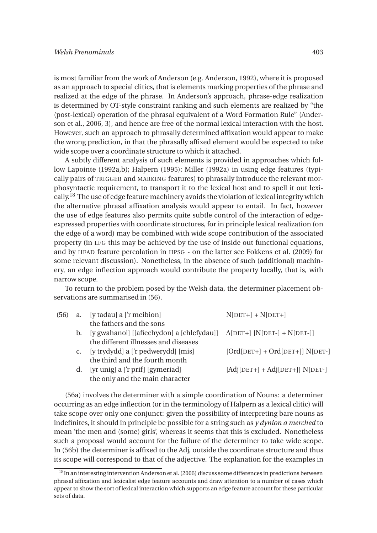is most familiar from the work of Anderson (e.g. Anderson, 1992), where it is proposed as an approach to special clitics, that is elements marking properties of the phrase and realized at the edge of the phrase. In Anderson's approach, phrase-edge realization is determined by OT-style constraint ranking and such elements are realized by "the (post-lexical) operation of the phrasal equivalent of a Word Formation Rule" (Anderson et al., 2006, 3), and hence are free of the normal lexical interaction with the host. However, such an approach to phrasally determined affixation would appear to make the wrong prediction, in that the phrasally affixed element would be expected to take wide scope over a coordinate structure to which it attached.

A subtly different analysis of such elements is provided in approaches which follow Lapointe (1992a,b); Halpern (1995); Miller (1992a) in using edge features (typically pairs of TRIGGER and MARKING features) to phrasally introduce the relevant morphosyntactic requirement, to transport it to the lexical host and to spell it out lexically.<sup>18</sup> The use of edge feature machinery avoids the violation of lexical integrity which the alternative phrasal affixation analysis would appear to entail. In fact, however the use of edge features also permits quite subtle control of the interaction of edgeexpressed properties with coordinate structures, for in principle lexical realization (on the edge of a word) may be combined with wide scope contribution of the associated property (in LFG this may be achieved by the use of inside out functional equations, and by HEAD feature percolation in HPSG - on the latter see Fokkens et al. (2009) for some relevant discussion). Nonetheless, in the absence of such (additional) machinery, an edge inflection approach would contribute the property locally, that is, with narrow scope.

To return to the problem posed by the Welsh data, the determiner placement observations are summarised in (56).

| $(56)$ a. |    | [y tadau] a ['r meibion]                                              | $N[DET+] + N[DET+]$               |
|-----------|----|-----------------------------------------------------------------------|-----------------------------------|
|           |    | the fathers and the sons                                              |                                   |
|           | b. | [y gwahanol] [[afiechydon] a [chlefydau]] A[DET+] [N[DET-] + N[DET-]] |                                   |
|           |    | the different illnesses and diseases                                  |                                   |
|           |    | c. [y trydydd] a ['r pedwerydd] [mis]                                 | $[Ord[DET+] + Ord[DET+]]$ N[DET-] |
|           |    | the third and the fourth month                                        |                                   |
|           |    | d. [yr unig] a ['r prif] [gymeriad]                                   | $[Adj[DET+] + Adj[DET+]]$ N[DET-] |
|           |    | the only and the main character                                       |                                   |

(56a) involves the determiner with a simple coordination of Nouns: a determiner occurring as an edge inflection (or in the terminology of Halpern as a lexical clitic) will take scope over only one conjunct: given the possibility of interpreting bare nouns as indefinites, it should in principle be possible for a string such as *y dynion a merched* to mean 'the men and (some) girls', whereas it seems that this is excluded. Nonetheless such a proposal would account for the failure of the determiner to take wide scope. In (56b) the determiner is affixed to the Adj, outside the coordinate structure and thus its scope will correspond to that of the adjective. The explanation for the examples in

<sup>&</sup>lt;sup>18</sup>In an interesting intervention Anderson et al. (2006) discuss some differences in predictions between phrasal affixation and lexicalist edge feature accounts and draw attention to a number of cases which appear to show the sort of lexical interaction which supports an edge feature account for these particular sets of data.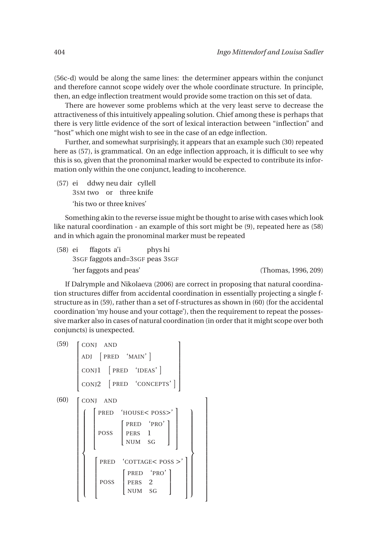(56c-d) would be along the same lines: the determiner appears within the conjunct and therefore cannot scope widely over the whole coordinate structure. In principle, then, an edge inflection treatment would provide some traction on this set of data.

There are however some problems which at the very least serve to decrease the attractiveness of this intuitively appealing solution. Chief among these is perhaps that there is very little evidence of the sort of lexical interaction between "inflection" and "host" which one might wish to see in the case of an edge inflection.

Further, and somewhat surprisingly, it appears that an example such (30) repeated here as (57), is grammatical. On an edge inflection approach, it is difficult to see why this is so, given that the pronominal marker would be expected to contribute its information only within the one conjunct, leading to incoherence.

(57) ei 3SM two or three knife ddwy neu dair cyllell 'his two or three knives'

Something akin to the reverse issue might be thought to arise with cases which look like natural coordination - an example of this sort might be (9), repeated here as (58) and in which again the pronominal marker must be repeated

(58) ei 3SGF faggots and=3SGF peas 3SGF ffagots a'i phys hi 'her faggots and peas' (Thomas, 1996, 209)

If Dalrymple and Nikolaeva (2006) are correct in proposing that natural coordination structures differ from accidental coordination in essentially projecting a single fstructure as in (59), rather than a set of f-structures as shown in (60) (for the accidental coordination 'my house and your cottage'), then the requirement to repeat the possessive marker also in cases of natural coordination (in order that it might scope over both conjuncts) is unexpected.

> 1  $\overline{1}$  $\overline{1}$  $\overline{1}$  $\overline{1}$  $\overline{1}$  $\overline{1}$  $\overline{1}$  $\overline{1}$  $\overline{1}$  $\overline{1}$  $\overline{1}$  $\overline{1}$  $\overline{1}$  $\overline{1}$  $\overline{1}$  $\overline{1}$  $\overline{1}$  $\overline{1}$  $\overline{1}$  $\overline{1}$

| (59) | CONJ AND                                                                                                                                                                |  |  |
|------|-------------------------------------------------------------------------------------------------------------------------------------------------------------------------|--|--|
|      | ADJ [PRED 'MAIN']                                                                                                                                                       |  |  |
|      | CONJ1 [PRED 'IDEAS']                                                                                                                                                    |  |  |
|      | CONJ2 [PRED 'CONCEPTS']                                                                                                                                                 |  |  |
| (60) | CONJ AND                                                                                                                                                                |  |  |
|      | PRED 'HOUSE< POSS>'                                                                                                                                                     |  |  |
|      | $\begin{array}{ l } \hline \texttt{POSS} & \begin{bmatrix} \texttt{PRED} & \texttt{'PRO'} \\ \texttt{PERS} & 1 \\ \texttt{NUM} & \texttt{SG} \end{bmatrix} \end{array}$ |  |  |
|      | PRED 'COTTAGE< POSS >'                                                                                                                                                  |  |  |
|      | $\begin{bmatrix} \texttt{PRED} & ' \texttt{PRO'} \\ \texttt{PERS} & 2 \\ \texttt{NUM} & \texttt{SG} \end{bmatrix}$<br>POSS                                              |  |  |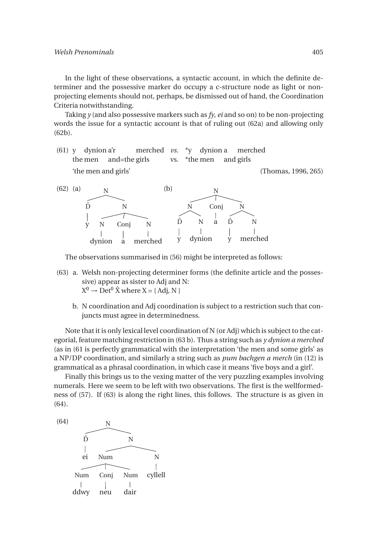In the light of these observations, a syntactic account, in which the definite determiner and the possessive marker do occupy a c-structure node as light or nonprojecting elements should not, perhaps, be dismissed out of hand, the Coordination Criteria notwithstanding.

Taking *y* (and also possessive markers such as *fy*, *ei* and so on) to be non-projecting words the issue for a syntactic account is that of ruling out (62a) and allowing only (62b).

(61) y dynion a'r the men and=the girls merched *vs.* vs.  $*_{V}$ \*the men dynion a and girls merched 'the men and girls' (Thomas, 1996, 265)



The observations summarised in (56) might be interpreted as follows:

- (63) a. Welsh non-projecting determiner forms (the definite article and the possessive) appear as sister to Adj and N:  $X^0 \to Det^0 \hat{X}$  where  $X = \{ Adj, N \}$ 
	- b. N coordination and Adj coordination is subject to a restriction such that conjuncts must agree in determinedness.

Note that it is only lexical level coordination of N (or Adj) which is subject to the categorial, feature matching restriction in (63 b). Thus a string such as *y dynion a merched* (as in (61 is perfectly grammatical with the interpretation 'the men and some girls' as a NP/DP coordination, and similarly a string such as *pum bachgen a merch* (in (12) is grammatical as a phrasal coordination, in which case it means 'five boys and a girl'.

Finally this brings us to the vexing matter of the very puzzling examples involving numerals. Here we seem to be left with two observations. The first is the wellformedness of (57). If (63) is along the right lines, this follows. The structure is as given in (64).

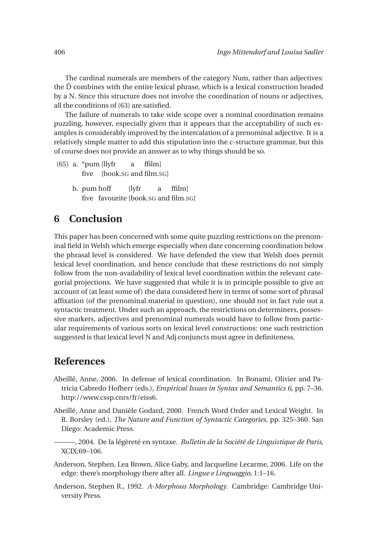The cardinal numerals are members of the category Num, rather than adjectives: the  $\hat{D}$  combines with the entire lexical phrase, which is a lexical construction headed by a N. Since this structure does not involve the coordination of nouns or adjectives, all the conditions of (63) are satisfied.

The failure of numerals to take wide scope over a nominal coordination remains puzzling, however, especially given that it appears that the acceptability of such examples is considerably improved by the intercalation of a prenominal adjective. It is a relatively simple matter to add this stipulation into the c-structure grammar, but this of course does not provide an answer as to why things should be so.

- (65) a. \*pum [llyfr five [book.SG and film.SG] a ffilm]
	- b. pum hoff five favourite [book.SG and film.SG] [lyfr a ffilm]

## **6 Conclusion**

This paper has been concerned with some quite puzzling restrictions on the prenominal field in Welsh which emerge especially when date concerning coordination below the phrasal level is considered. We have defended the view that Welsh does permit lexical level coordination, and hence conclude that these restrictions do not simply follow from the non-availability of lexical level coordination within the relevant categorial projections. We have suggested that while it is in principle possible to give an account of (at least some of) the data considered here in terms of some sort of phrasal affixation (of the prenominal material in question), one should not in fact rule out a syntactic treatment. Under such an approach, the restrictions on determiners, possessive markers, adjectives and prenominal numerals would have to follow from particular requirements of various sorts on lexical level constructions: one such restriction suggested is that lexical level N and Adj conjuncts must agree in definiteness.

## **References**

- Abeillé, Anne, 2006. In defense of lexical coordination. In Bonami, Olivier and Patricia Cabredo Hofherr (eds.), *Empirical Issues in Syntax and Semantics 6*, pp. 7–36. http://www.cssp.cnrs/fr/eiss6.
- Abeillé, Anne and Danièle Godard, 2000. French Word Order and Lexical Weight. In R. Borsley (ed.), *The Nature and Function of Syntactic Categories*, pp. 325–360. San Diego: Academic Press.
	- ———, 2004. De la légèreté en syntaxe. *Bulletin de la Société de Linguistique de Paris*, XCIX:69–106.
- Anderson, Stephen, Lea Brown, Alice Gaby, and Jacqueline Lecarme, 2006. Life on the edge: there's morphology there after all. *Lingue e Linguaggio*, 1:1–16.
- Anderson, Stephen R., 1992. *A-Morphous Morphology*. Cambridge: Cambridge University Press.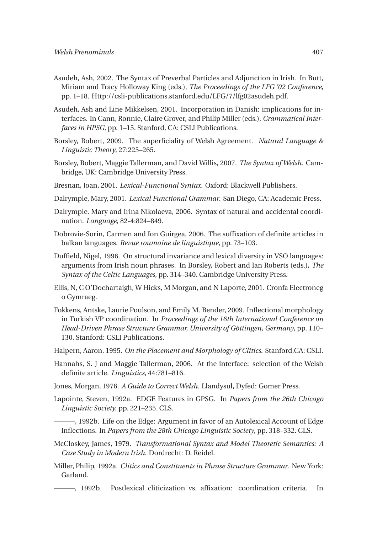- Asudeh, Ash, 2002. The Syntax of Preverbal Particles and Adjunction in Irish. In Butt, Miriam and Tracy Holloway King (eds.), *The Proceedings of the LFG '02 Conference*, pp. 1–18. Http://csli-publications.stanford.edu/LFG/7/lfg02asudeh.pdf.
- Asudeh, Ash and Line Mikkelsen, 2001. Incorporation in Danish: implications for interfaces. In Cann, Ronnie, Claire Grover, and Philip Miller (eds.), *Grammatical Interfaces in HPSG*, pp. 1–15. Stanford, CA: CSLI Publications.
- Borsley, Robert, 2009. The superficiality of Welsh Agreement. *Natural Language & Linguistic Theory*, 27:225–265.
- Borsley, Robert, Maggie Tallerman, and David Willis, 2007. *The Syntax of Welsh*. Cambridge, UK: Cambridge University Press.
- Bresnan, Joan, 2001. *Lexical-Functional Syntax*. Oxford: Blackwell Publishers.
- Dalrymple, Mary, 2001. *Lexical Functional Grammar*. San Diego, CA: Academic Press.
- Dalrymple, Mary and Irina Nikolaeva, 2006. Syntax of natural and accidental coordination. *Language*, 82-4:824–849.
- Dobrovie-Sorin, Carmen and Ion Guirgea, 2006. The suffixation of definite articles in balkan languages. *Revue roumaine de linguistique*, pp. 73–103.
- Duffield, Nigel, 1996. On structural invariance and lexical diversity in VSO languages: arguments from Irish noun phrases. In Borsley, Robert and Ian Roberts (eds.), *The Syntax of the Celtic Languages*, pp. 314–340. Cambridge University Press.
- Ellis, N, C O'Dochartaigh, W Hicks, M Morgan, and N Laporte, 2001. Cronfa Electroneg o Gymraeg.
- Fokkens, Antske, Laurie Poulson, and Emily M. Bender, 2009. Inflectional morphology in Turkish VP coordination. In *Proceedings of the 16th International Conference on Head-Driven Phrase Structure Grammar, University of Göttingen, Germany*, pp. 110– 130. Stanford: CSLI Publications.
- Halpern, Aaron, 1995. *On the Placement and Morphology of Clitics*. Stanford,CA: CSLI.
- Hannahs, S. J and Maggie Tallerman, 2006. At the interface: selection of the Welsh definite article. *Linguistics*, 44:781–816.
- Jones, Morgan, 1976. *A Guide to Correct Welsh*. Llandysul, Dyfed: Gomer Press.
- Lapointe, Steven, 1992a. EDGE Features in GPSG. In *Papers from the 26th Chicago Linguistic Society*, pp. 221–235. CLS.

———, 1992b. Life on the Edge: Argument in favor of an Autolexical Account of Edge Inflections. In *Papers from the 28th Chicago Linguistic Society*, pp. 318–332. CLS.

- McCloskey, James, 1979. *Transformational Syntax and Model Theoretic Semantics: A Case Study in Modern Irish*. Dordrecht: D. Reidel.
- Miller, Philip, 1992a. *Clitics and Constituents in Phrase Structure Grammar*. New York: Garland.
	- ———, 1992b. Postlexical cliticization vs. affixation: coordination criteria. In